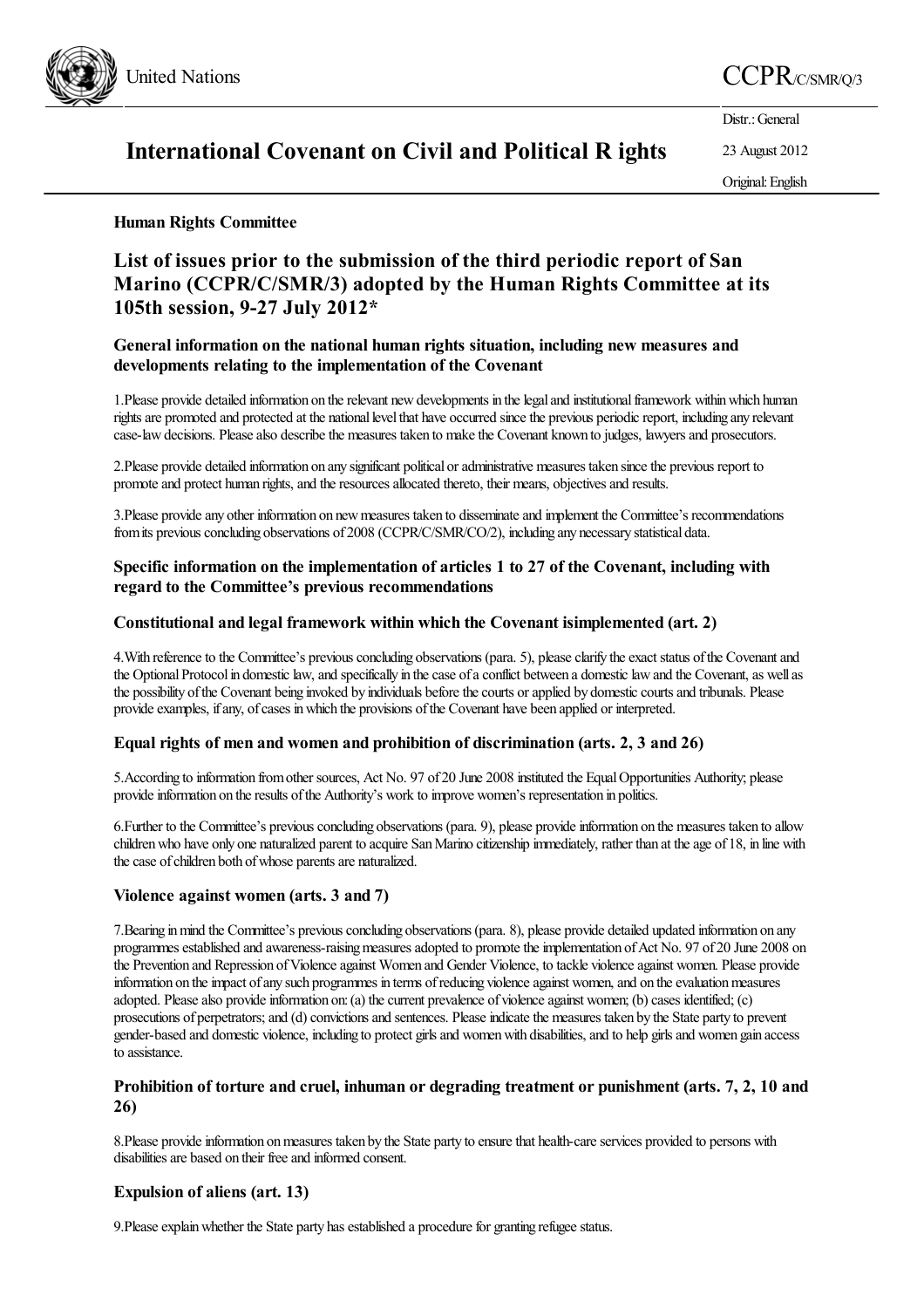

# United Nations CCPR C/SMR/Q/3

Distr.: General

# International Covenant on Civil and Political R ights

23 August 2012 Original:English

### Human Rights Committee

## List of issues prior to the submission of the third periodic report of San Marino (CCPR/C/SMR/3) adopted by the Human Rights Committee at its 105th session, 9-27 July 2012\*

#### General information on the national human rights situation, including new measures and developments relating to the implementation of the Covenant

1.Please provide detailed information on therelevant newdevelopments in thelegaland institutionalframework withinwhich human rights are promoted and protected at the national level that have occurred since the previous periodic report, including any relevant case-law decisions. Please also describe the measures taken to make the Covenant known to judges, lawyers and prosecutors.

2. Please provide detailed information on any significant political or administrative measures taken since the previous report to promote and protect human rights, and the resources allocated thereto, their means, objectives and results.

3.Please provideany other information on newmeasures taken to disseminateand implement the Committee's recommendations from its previous concluding observations of 2008 (CCPR/C/SMR/CO/2), including any necessary statistical data.

### Specific information on the implementation of articles 1 to 27 of the Covenant, including with regard to the Committee's previous recommendations

#### Constitutional and legal framework within which the Covenant isimplemented (art. 2)

4. With reference to the Committee's previous concluding observations (para. 5), please clarify the exact status of the Covenant and the Optional Protocol in domestic law, and specifically in the case of a conflict between a domestic law and the Covenant, as well as the possibility of the Covenant being invoked by individuals before the courts or applied by domestic courts and tribunals. Please provide examples, if any, of cases in which the provisions of the Covenant have been applied or interpreted.

#### Equal rights of men and women and prohibition of discrimination (arts. 2, 3 and 26)

5.According to information fromother sources, Act No. 97 of 20 June 2008 instituted the EqualOpportunities Authority; please provide information on the results of the Authority's work to improve women's representation in politics.

6. Further to the Committee's previous concluding observations (para. 9), please provide information on the measures taken to allow children who have only one naturalized parent to acquire San Marino citizenship immediately, rather than at the age of 18, in line with the case of children both of whose parents are naturalized.

#### Violence against women (arts. 3 and 7)

7. Bearing in mind the Committee's previous concluding observations (para. 8), please provide detailed updated information on any programmes established and awareness-raising measures adopted to promote the implementation of Act No. 97 of 20 June 2008 on the Prevention and Repression of Violence against Women and Gender Violence, to tackle violence against women. Please provide information on the impact of any such programmes in terms of reducing violence against women, and on the evaluation measures adopted. Please also provide information on: (a) the current prevalence of violence against women; (b) cases identified; (c) prosecutions of perpetrators; and (d) convictions and sentences. Please indicate the measures taken by the State party to prevent gender-based and domestic violence, including to protect girls and women with disabilities, and to help girls and women gain access to assistance.

#### Prohibition of torture and cruel, inhuman or degrading treatment or punishment (arts. 7, 2, 10 and 26)

8. Please provide information on measures taken by the State party to ensure that health-care services provided to persons with disabilities are based on their free and informed consent.

#### Expulsion of aliens (art. 13)

9. Please explain whether the State party has established a procedure for granting refugee status.